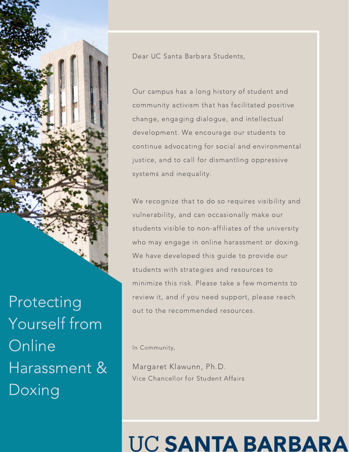

Protecting Yourself from **Online** Harassment & Doxing

Dear UC Santa Barbara Students,

Our campus has a long history of student and community activism that has facilitated positive change, engaging dialogue, and intellectual development. We encourage our students to continue advocating for social and environmental justice, and to call for dismantling oppressive systems and inequality.

We recognize that to do so requires visibility and vulnerability, and can occasionally make our students visible to non-affiliates of the university who may engage in online harassment or doxing. We have developed this guide to provide our students with strategies and resources to minimize this risk. Please take a few moments to review it, and if you need support, please reach out to the recommended resources.

In Community,

Margaret Klawunn, Ph.D. Vice Chancellor for Student Affairs

### UC SANTA BARBAR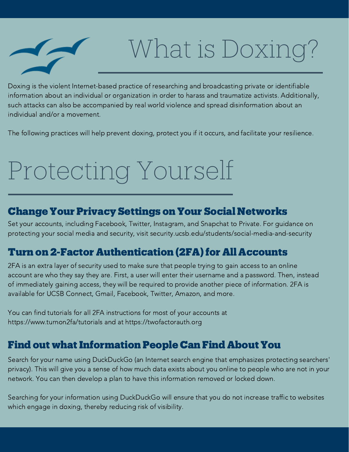

### What is Doxing?

Doxing is the violent Internet-based practice of researching and broadcasting private or identifiable information about an individual or organization in order to harass and traumatize activists. Additionally, such attacks can also be accompanied by real world violence and spread disinformation about an individual and/or a movement.

The following practices will help prevent doxing, protect you if it occurs, and facilitate your resilience.

## Protecting Yourself

#### Change Your Privacy Settings on Your Social Networks

Set your accounts, including Facebook, Twitter, Instagram, and Snapchat to Private. For guidance on protecting your social media and security, visit security.ucsb.edu/students/social-media-and-security

#### **Turn on 2-Factor Authentication (2FA) for All Accounts**

2FA is an extra layer of security used to make sure that people trying to gain access to an online account are who they say they are. First, a user will enter their username and a password. Then, instead of immediately gaining access, they will be required to provide another piece of information. 2FA is available for UCSB Connect, Gmail, Facebook, Twitter, Amazon, and more.

You can find tutorials for all 2FA instructions for most of your accounts at https://www.turnon2fa/tutorials and at https://twofactorauth.org

#### **Find out what Information People Can Find About You**

Search for your name using DuckDuckGo (an Internet search engine that emphasizes protecting searchers' privacy). This will give you a sense of how much data exists about you online to people who are not in your network. You can then develop a plan to have this information removed or locked down.

Searching for your information using DuckDuckGo will ensure that you do not increase traffic to websites which engage in doxing, thereby reducing risk of visibility.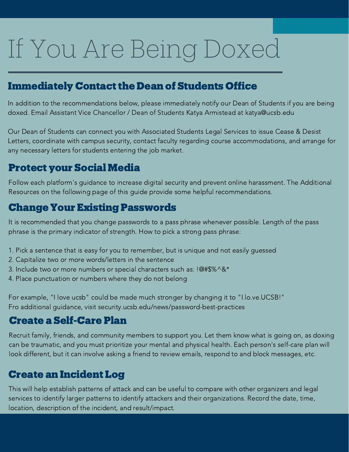# If You Are Being Doxed

#### **Immediately Contact the Dean of Students Office**

In addition to the recommendations below, please immediately notify our Dean of Students if you are being doxed. Email Assistant Vice Chancellor / Dean of Students Katya Armistead at katya@ucsb.edu

Our Dean of Students can connect you with Associated Students Legal Services to issue Cease & Desist Letters, coordinate with campus security, contact faculty regarding course accommodations, and arrange for any necessary letters for students entering the job market.

#### Protect your Social Media

Follow each platform's guidance to increase digital security and prevent online harassment. The Additional Resources on the following page of this guide provide some helpful recommendations.

#### Change Your Existing Passwords

It is recommended that you change passwords to a pass phrase whenever possible. Length of the pass phrase is the primary indicator of strength. How to pick a strong pass phrase:

- 1. Pick a sentence that is easy for you to remember, but is unique and not easily guessed
- 2. Capitalize two or more words/letters in the sentence
- 3. Include two or more numbers or special characters such as: !@#\$%^&\*
- 4. Place punctuation or numbers where they do not belong

For example, "I love ucsb" could be made much stronger by changing it to "I.lo.ve.UCSB!" Fro additional guidance, visit security.ucsb.edu/news/password-best-practices

#### Create a Self-Care Plan

Recruit family, friends, and community members to support you. Let them know what is going on, as doxing can be traumatic, and you must prioritize your mental and physical health. Each person's self-care plan will look different, but it can involve asking a friend to review emails, respond to and block messages, etc.

#### Create an Incident Log

This will help establish patterns of attack and can be useful to compare with other organizers and legal services to identify larger patterns to identify attackers and their organizations. Record the date, time, location, description of the incident, and result/impact.